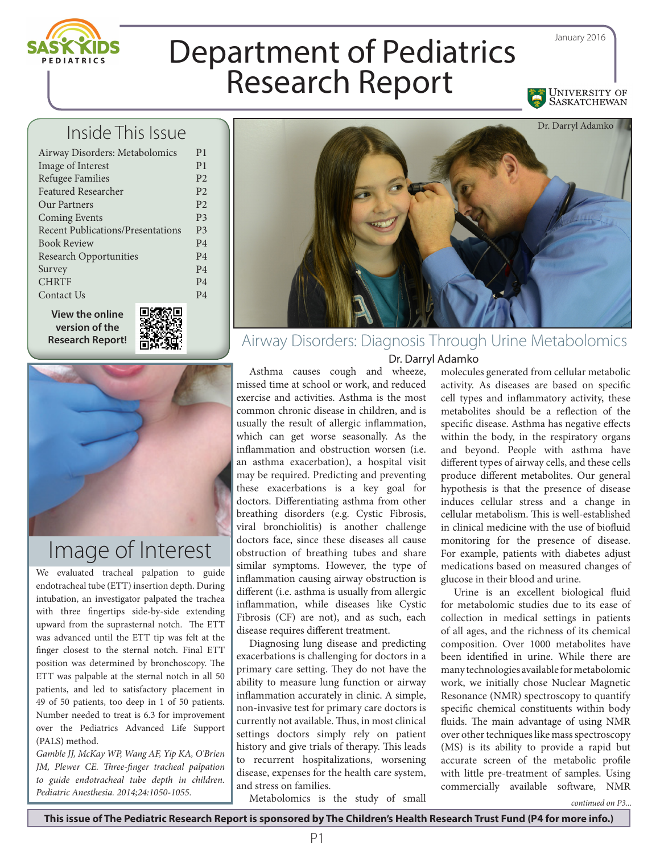

## Inside This Issue

| Airway Disorders: Metabolomics           | P <sub>1</sub> |
|------------------------------------------|----------------|
| Image of Interest                        | P <sub>1</sub> |
| Refugee Families                         | P <sub>2</sub> |
| <b>Featured Researcher</b>               | P <sub>2</sub> |
| Our Partners                             | P <sub>2</sub> |
| <b>Coming Events</b>                     | P <sub>3</sub> |
| <b>Recent Publications/Presentations</b> | P <sub>3</sub> |
| <b>Book Review</b>                       | P <sub>4</sub> |
| <b>Research Opportunities</b>            | P <sub>4</sub> |
| Survey                                   | P <sub>4</sub> |
| <b>CHRTF</b>                             | P <sub>4</sub> |
| Contact Us                               | P <sub>4</sub> |
|                                          |                |

**View the online version of the Research Report!**





## Image of Interest

We evaluated tracheal palpation to guide endotracheal tube (ETT) insertion depth. During intubation, an investigator palpated the trachea with three fingertips side-by-side extending upward from the suprasternal notch. The ETT was advanced until the ETT tip was felt at the finger closest to the sternal notch. Final ETT position was determined by bronchoscopy. The ETT was palpable at the sternal notch in all 50 patients, and led to satisfactory placement in 49 of 50 patients, too deep in 1 of 50 patients. Number needed to treat is 6.3 for improvement over the Pediatrics Advanced Life Support (PALS) method.

*Gamble JJ, McKay WP, Wang AF, Yip KA, O'Brien JM, Plewer CE. Three-finger tracheal palpation to guide endotracheal tube depth in children. Pediatric Anesthesia. 2014;24:1050-1055.*



## Airway Disorders: Diagnosis Through Urine Metabolomics

Dr. Darryl Adamko

Asthma causes cough and wheeze, missed time at school or work, and reduced exercise and activities. Asthma is the most common chronic disease in children, and is usually the result of allergic inflammation, which can get worse seasonally. As the inflammation and obstruction worsen (i.e. an asthma exacerbation), a hospital visit may be required. Predicting and preventing these exacerbations is a key goal for doctors. Differentiating asthma from other breathing disorders (e.g. Cystic Fibrosis, viral bronchiolitis) is another challenge doctors face, since these diseases all cause obstruction of breathing tubes and share similar symptoms. However, the type of inflammation causing airway obstruction is different (i.e. asthma is usually from allergic inflammation, while diseases like Cystic Fibrosis (CF) are not), and as such, each disease requires different treatment.

Diagnosing lung disease and predicting exacerbations is challenging for doctors in a primary care setting. They do not have the ability to measure lung function or airway inflammation accurately in clinic. A simple, non-invasive test for primary care doctors is currently not available. Thus, in most clinical settings doctors simply rely on patient history and give trials of therapy. This leads to recurrent hospitalizations, worsening disease, expenses for the health care system, and stress on families.

molecules generated from cellular metabolic activity. As diseases are based on specific cell types and inflammatory activity, these metabolites should be a reflection of the specific disease. Asthma has negative effects within the body, in the respiratory organs and beyond. People with asthma have different types of airway cells, and these cells produce different metabolites. Our general hypothesis is that the presence of disease induces cellular stress and a change in cellular metabolism. This is well-established in clinical medicine with the use of biofluid monitoring for the presence of disease. For example, patients with diabetes adjust medications based on measured changes of glucose in their blood and urine.

Urine is an excellent biological fluid for metabolomic studies due to its ease of collection in medical settings in patients of all ages, and the richness of its chemical composition. Over 1000 metabolites have been identified in urine. While there are many technologies available for metabolomic work, we initially chose Nuclear Magnetic Resonance (NMR) spectroscopy to quantify specific chemical constituents within body fluids. The main advantage of using NMR over other techniques like mass spectroscopy (MS) is its ability to provide a rapid but accurate screen of the metabolic profile with little pre-treatment of samples. Using commercially available software, NMR

Metabolomics is the study of small

*continued on P3...*

January 2016

UNIVERSITY OF<br>SASKATCHEWAN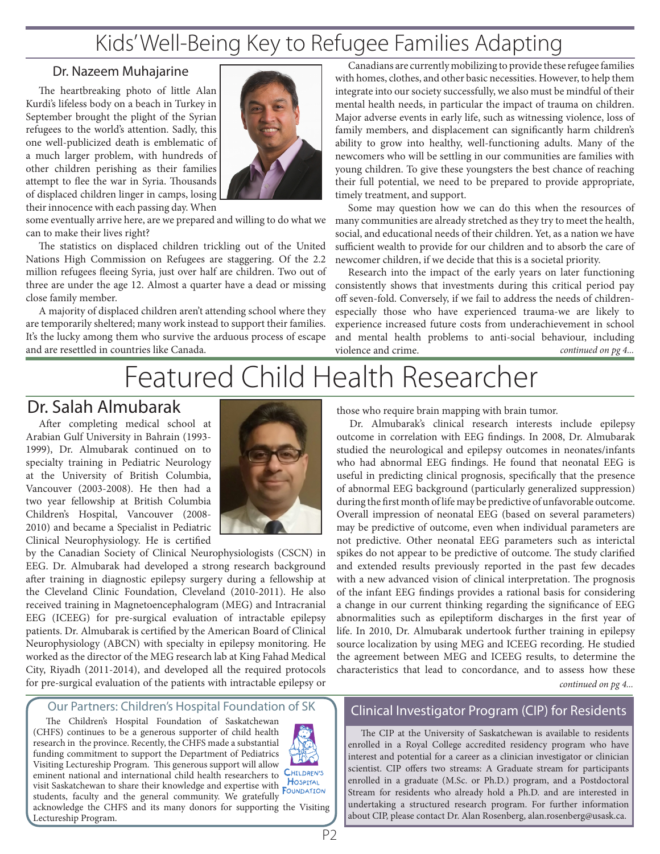# Kids' Well-Being Key to Refugee Families Adapting

#### Dr. Nazeem Muhajarine

The heartbreaking photo of little Alan Kurdi's lifeless body on a beach in Turkey in September brought the plight of the Syrian refugees to the world's attention. Sadly, this one well-publicized death is emblematic of a much larger problem, with hundreds of other children perishing as their families attempt to flee the war in Syria. Thousands of displaced children linger in camps, losing their innocence with each passing day. When

some eventually arrive here, are we prepared and willing to do what we can to make their lives right?

The statistics on displaced children trickling out of the United Nations High Commission on Refugees are staggering. Of the 2.2 million refugees fleeing Syria, just over half are children. Two out of three are under the age 12. Almost a quarter have a dead or missing close family member.

A majority of displaced children aren't attending school where they are temporarily sheltered; many work instead to support their families. It's the lucky among them who survive the arduous process of escape and are resettled in countries like Canada.

Canadians are currently mobilizing to provide these refugee families with homes, clothes, and other basic necessities. However, to help them integrate into our society successfully, we also must be mindful of their mental health needs, in particular the impact of trauma on children. Major adverse events in early life, such as witnessing violence, loss of family members, and displacement can significantly harm children's ability to grow into healthy, well-functioning adults. Many of the newcomers who will be settling in our communities are families with young children. To give these youngsters the best chance of reaching their full potential, we need to be prepared to provide appropriate, timely treatment, and support.

Some may question how we can do this when the resources of many communities are already stretched as they try to meet the health, social, and educational needs of their children. Yet, as a nation we have sufficient wealth to provide for our children and to absorb the care of newcomer children, if we decide that this is a societal priority.

Research into the impact of the early years on later functioning consistently shows that investments during this critical period pay off seven-fold. Conversely, if we fail to address the needs of childrenespecially those who have experienced trauma-we are likely to experience increased future costs from underachievement in school and mental health problems to anti-social behaviour, including violence and crime. *continued on pg 4...*

# Featured Child Health Researcher

## Dr. Salah Almubarak

After completing medical school at Arabian Gulf University in Bahrain (1993- 1999), Dr. Almubarak continued on to specialty training in Pediatric Neurology at the University of British Columbia, Vancouver (2003-2008). He then had a two year fellowship at British Columbia Children's Hospital, Vancouver (2008- 2010) and became a Specialist in Pediatric Clinical Neurophysiology. He is certified

by the Canadian Society of Clinical Neurophysiologists (CSCN) in EEG. Dr. Almubarak had developed a strong research background after training in diagnostic epilepsy surgery during a fellowship at the Cleveland Clinic Foundation, Cleveland (2010-2011). He also received training in Magnetoencephalogram (MEG) and Intracranial EEG (ICEEG) for pre-surgical evaluation of intractable epilepsy patients. Dr. Almubarak is certified by the American Board of Clinical Neurophysiology (ABCN) with specialty in epilepsy monitoring. He worked as the director of the MEG research lab at King Fahad Medical City, Riyadh (2011-2014), and developed all the required protocols for pre-surgical evaluation of the patients with intractable epilepsy or

#### Our Partners: Children's Hospital Foundation of SK

The Children's Hospital Foundation of Saskatchewan (CHFS) continues to be a generous supporter of child health research in the province. Recently, the CHFS made a substantial funding commitment to support the Department of Pediatrics Visiting Lectureship Program. This generous support will allow eminent national and international child health researchers to CHILDREN'S eminem national and incrimitying can also expertise with **HOSPITAL** visit Saskatchewan to share their knowledge and expertise with **FOUNDATION** students, faculty and the general community. We gratefully acknowledge the CHFS and its many donors for supporting the Visiting

Lectureship Program.



those who require brain mapping with brain tumor. Dr. Almubarak's clinical research interests include epilepsy

outcome in correlation with EEG findings. In 2008, Dr. Almubarak studied the neurological and epilepsy outcomes in neonates/infants who had abnormal EEG findings. He found that neonatal EEG is useful in predicting clinical prognosis, specifically that the presence of abnormal EEG background (particularly generalized suppression) during the first month of life may be predictive of unfavorable outcome. Overall impression of neonatal EEG (based on several parameters) may be predictive of outcome, even when individual parameters are not predictive. Other neonatal EEG parameters such as interictal spikes do not appear to be predictive of outcome. The study clarified and extended results previously reported in the past few decades with a new advanced vision of clinical interpretation. The prognosis of the infant EEG findings provides a rational basis for considering a change in our current thinking regarding the significance of EEG abnormalities such as epileptiform discharges in the first year of life. In 2010, Dr. Almubarak undertook further training in epilepsy source localization by using MEG and ICEEG recording. He studied the agreement between MEG and ICEEG results, to determine the characteristics that lead to concordance, and to assess how these *continued on pg 4...*

### Clinical Investigator Program (CIP) for Residents

The CIP at the University of Saskatchewan is available to residents enrolled in a Royal College accredited residency program who have interest and potential for a career as a clinician investigator or clinician scientist. CIP offers two streams: A Graduate stream for participants enrolled in a graduate (M.Sc. or Ph.D.) program, and a Postdoctoral Stream for residents who already hold a Ph.D. and are interested in undertaking a structured research program. For further information about CIP, please contact Dr. Alan Rosenberg, alan.rosenberg@usask.ca.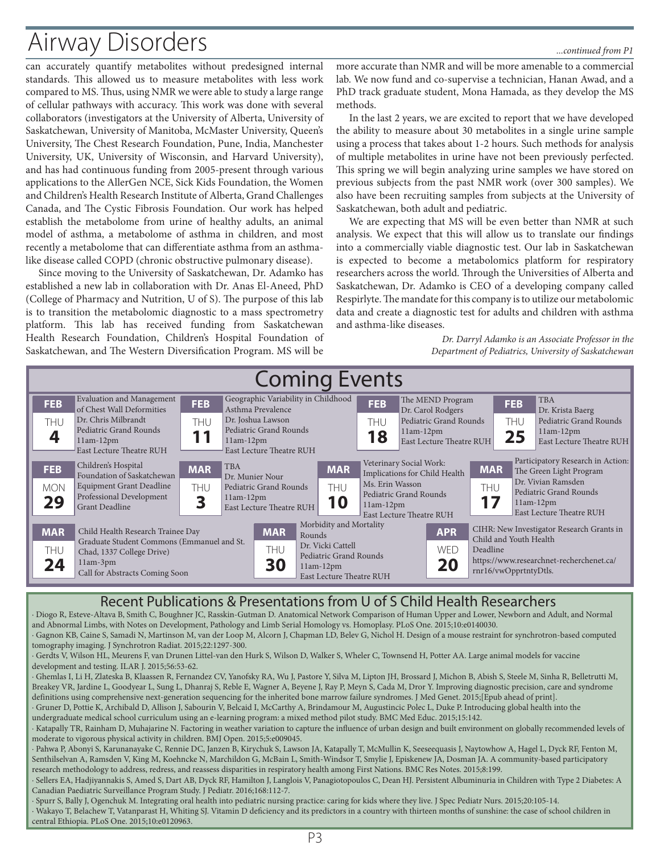# Airway Disorders *...continued from P1*

can accurately quantify metabolites without predesigned internal standards. This allowed us to measure metabolites with less work compared to MS. Thus, using NMR we were able to study a large range of cellular pathways with accuracy. This work was done with several collaborators (investigators at the University of Alberta, University of Saskatchewan, University of Manitoba, McMaster University, Queen's University, The Chest Research Foundation, Pune, India, Manchester University, UK, University of Wisconsin, and Harvard University), and has had continuous funding from 2005-present through various applications to the AllerGen NCE, Sick Kids Foundation, the Women and Children's Health Research Institute of Alberta, Grand Challenges Canada, and The Cystic Fibrosis Foundation. Our work has helped establish the metabolome from urine of healthy adults, an animal model of asthma, a metabolome of asthma in children, and most recently a metabolome that can differentiate asthma from an asthmalike disease called COPD (chronic obstructive pulmonary disease).

Since moving to the University of Saskatchewan, Dr. Adamko has established a new lab in collaboration with Dr. Anas El-Aneed, PhD (College of Pharmacy and Nutrition, U of S). The purpose of this lab is to transition the metabolomic diagnostic to a mass spectrometry platform. This lab has received funding from Saskatchewan Health Research Foundation, Children's Hospital Foundation of Saskatchewan, and The Western Diversification Program. MS will be

more accurate than NMR and will be more amenable to a commercial lab. We now fund and co-supervise a technician, Hanan Awad, and a PhD track graduate student, Mona Hamada, as they develop the MS methods.

In the last 2 years, we are excited to report that we have developed the ability to measure about 30 metabolites in a single urine sample using a process that takes about 1-2 hours. Such methods for analysis of multiple metabolites in urine have not been previously perfected. This spring we will begin analyzing urine samples we have stored on previous subjects from the past NMR work (over 300 samples). We also have been recruiting samples from subjects at the University of Saskatchewan, both adult and pediatric.

We are expecting that MS will be even better than NMR at such analysis. We expect that this will allow us to translate our findings into a commercially viable diagnostic test. Our lab in Saskatchewan is expected to become a metabolomics platform for respiratory researchers across the world. Through the Universities of Alberta and Saskatchewan, Dr. Adamko is CEO of a developing company called Respirlyte. The mandate for this company is to utilize our metabolomic data and create a diagnostic test for adults and children with asthma and asthma-like diseases.

> *Dr. Darryl Adamko is an Associate Professor in the Department of Pediatrics, University of Saskatchewan*

| <b>Coming Events</b>                                                                                                                                                                    |                                                                                                                                                    |                        |                                                                                                                                                        |                                                                                                                                     |                                |                                |                                                                                                                |                                                                                                                                          |                         |                                                                                                                                                         |  |
|-----------------------------------------------------------------------------------------------------------------------------------------------------------------------------------------|----------------------------------------------------------------------------------------------------------------------------------------------------|------------------------|--------------------------------------------------------------------------------------------------------------------------------------------------------|-------------------------------------------------------------------------------------------------------------------------------------|--------------------------------|--------------------------------|----------------------------------------------------------------------------------------------------------------|------------------------------------------------------------------------------------------------------------------------------------------|-------------------------|---------------------------------------------------------------------------------------------------------------------------------------------------------|--|
| <b>FEB</b><br>THU                                                                                                                                                                       | Evaluation and Management<br>of Chest Wall Deformities<br>Dr. Chris Milbrandt<br>Pediatric Grand Rounds<br>$11am-12pm$<br>East Lecture Theatre RUH | <b>FEB</b><br>THU      | $11am-12pm$                                                                                                                                            | Geographic Variability in Childhood<br>Asthma Prevalence<br>Dr. Joshua Lawson<br>Pediatric Grand Rounds<br>East Lecture Theatre RUH |                                | <b>FEB</b><br>thu<br>18        | The MEND Program<br>Dr. Carol Rodgers<br>Pediatric Grand Rounds<br>$11am-12pm$<br>East Lecture Theatre RUH     |                                                                                                                                          | <b>FEB</b><br>THU<br>25 | <b>TBA</b><br>Dr. Krista Baerg<br>Pediatric Grand Rounds<br>$11am-12pm$<br>East Lecture Theatre RUH                                                     |  |
| <b>FEB</b><br><b>MON</b><br>29                                                                                                                                                          | Children's Hospital<br>Foundation of Saskatchewan<br><b>Equipment Grant Deadline</b><br>Professional Development<br><b>Grant Deadline</b>          | <b>MAR</b><br>THU<br>2 | <b>TBA</b><br>$11am-12pm$                                                                                                                              | Dr. Munier Nour<br>Pediatric Grand Rounds<br>East Lecture Theatre RUH                                                               | <b>MAR</b><br>THU<br>10        | Ms. Erin Wasson<br>$11am-12pm$ | Veterinary Social Work:<br>Implications for Child Health<br>Pediatric Grand Rounds<br>East Lecture Theatre RUH | <b>MAR</b><br>thu<br>17                                                                                                                  |                         | Participatory Research in Action:<br>The Green Light Program<br>Dr. Vivian Ramsden<br>Pediatric Grand Rounds<br>$11am-12pm$<br>East Lecture Theatre RUH |  |
| <b>MAR</b><br>Child Health Research Trainee Day<br>Graduate Student Commons (Emmanuel and St.<br>THU<br>Chad, 1337 College Drive)<br>$11am-3pm$<br>24<br>Call for Abstracts Coming Soon |                                                                                                                                                    |                        | Morbidity and Mortality<br><b>MAR</b><br>Rounds<br>Dr. Vicki Cattell<br>thu<br>Pediatric Grand Rounds<br>30<br>$11am-12pm$<br>East Lecture Theatre RUH |                                                                                                                                     | <b>APR</b><br><b>WED</b><br>20 |                                | Deadline                                                                                                       | CIHR: New Investigator Research Grants in<br>Child and Youth Health<br>https://www.researchnet-recherchenet.ca/<br>rnr16/vwOpprtntyDtls. |                         |                                                                                                                                                         |  |

#### Recent Publications & Presentations from U of S Child Health Researchers

∙ Diogo R, Esteve-Altava B, Smith C, Boughner JC, Rasskin-Gutman D. Anatomical Network Comparison of Human Upper and Lower, Newborn and Adult, and Normal and Abnormal Limbs, with Notes on Development, Pathology and Limb Serial Homology vs. Homoplasy. PLoS One. 2015;10:e0140030. ∙ Gagnon KB, Caine S, Samadi N, Martinson M, van der Loop M, Alcorn J, Chapman LD, Belev G, Nichol H. Design of a mouse restraint for synchrotron-based computed tomography imaging. J Synchrotron Radiat. 2015;22:1297-300. ∙ Gerdts V, Wilson HL, Meurens F, van Drunen Littel-van den Hurk S, Wilson D, Walker S, Wheler C, Townsend H, Potter AA. Large animal models for vaccine development and testing. ILAR J. 2015;56:53-62. ∙ Ghemlas I, Li H, Zlateska B, Klaassen R, Fernandez CV, Yanofsky RA, Wu J, Pastore Y, Silva M, Lipton JH, Brossard J, Michon B, Abish S, Steele M, Sinha R, Belletrutti M, Breakey VR, Jardine L, Goodyear L, Sung L, Dhanraj S, Reble E, Wagner A, Beyene J, Ray P, Meyn S, Cada M, Dror Y. Improving diagnostic precision, care and syndrome definitions using comprehensive next-generation sequencing for the inherited bone marrow failure syndromes. J Med Genet. 2015;[Epub ahead of print]. ∙ Gruner D, Pottie K, Archibald D, Allison J, Sabourin V, Belcaid I, McCarthy A, Brindamour M, Augustincic Polec L, Duke P. Introducing global health into the undergraduate medical school curriculum using an e-learning program: a mixed method pilot study. BMC Med Educ. 2015;15:142. ∙ Katapally TR, Rainham D, Muhajarine N. Factoring in weather variation to capture the influence of urban design and built environment on globally recommended levels of moderate to vigorous physical activity in children. BMJ Open. 2015;5:e009045. ∙ Pahwa P, Abonyi S, Karunanayake C, Rennie DC, Janzen B, Kirychuk S, Lawson JA, Katapally T, McMullin K, Seeseequasis J, Naytowhow A, Hagel L, Dyck RF, Fenton M, Senthilselvan A, Ramsden V, King M, Koehncke N, Marchildon G, McBain L, Smith-Windsor T, Smylie J, Episkenew JA, Dosman JA. A community-based participatory research methodology to address, redress, and reassess disparities in respiratory health among First Nations. BMC Res Notes. 2015;8:199. ∙ Sellers EA, Hadjiyannakis S, Amed S, Dart AB, Dyck RF, Hamilton J, Langlois V, Panagiotopoulos C, Dean HJ. Persistent Albuminuria in Children with Type 2 Diabetes: A Canadian Paediatric Surveillance Program Study. J Pediatr. 2016;168:112-7. ∙ Spurr S, Bally J, Ogenchuk M. Integrating oral health into pediatric nursing practice: caring for kids where they live. J Spec Pediatr Nurs. 2015;20:105-14. ∙ Wakayo T, Belachew T, Vatanparast H, Whiting SJ. Vitamin D deficiency and its predictors in a country with thirteen months of sunshine: the case of school children in central Ethiopia. PLoS One. 2015;10:e0120963.